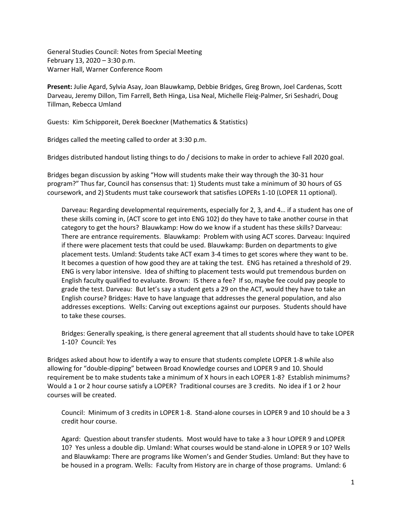General Studies Council: Notes from Special Meeting February 13, 2020 – 3:30 p.m. Warner Hall, Warner Conference Room

**Present:** Julie Agard, Sylvia Asay, Joan Blauwkamp, Debbie Bridges, Greg Brown, Joel Cardenas, Scott Darveau, Jeremy Dillon, Tim Farrell, Beth Hinga, Lisa Neal, Michelle Fleig-Palmer, Sri Seshadri, Doug Tillman, Rebecca Umland

Guests: Kim Schipporeit, Derek Boeckner (Mathematics & Statistics)

Bridges called the meeting called to order at 3:30 p.m.

Bridges distributed handout listing things to do / decisions to make in order to achieve Fall 2020 goal.

Bridges began discussion by asking "How will students make their way through the 30-31 hour program?" Thus far, Council has consensus that: 1) Students must take a minimum of 30 hours of GS coursework, and 2) Students must take coursework that satisfies LOPERs 1-10 (LOPER 11 optional).

Darveau: Regarding developmental requirements, especially for 2, 3, and 4… if a student has one of these skills coming in, (ACT score to get into ENG 102) do they have to take another course in that category to get the hours? Blauwkamp: How do we know if a student has these skills? Darveau: There are entrance requirements. Blauwkamp: Problem with using ACT scores. Darveau: Inquired if there were placement tests that could be used. Blauwkamp: Burden on departments to give placement tests. Umland: Students take ACT exam 3-4 times to get scores where they want to be. It becomes a question of how good they are at taking the test. ENG has retained a threshold of 29. ENG is very labor intensive. Idea of shifting to placement tests would put tremendous burden on English faculty qualified to evaluate. Brown: IS there a fee? If so, maybe fee could pay people to grade the test. Darveau: But let's say a student gets a 29 on the ACT, would they have to take an English course? Bridges: Have to have language that addresses the general population, and also addresses exceptions. Wells: Carving out exceptions against our purposes. Students should have to take these courses.

Bridges: Generally speaking, is there general agreement that all students should have to take LOPER 1-10? Council: Yes

Bridges asked about how to identify a way to ensure that students complete LOPER 1-8 while also allowing for "double-dipping" between Broad Knowledge courses and LOPER 9 and 10. Should requirement be to make students take a minimum of X hours in each LOPER 1-8? Establish minimums? Would a 1 or 2 hour course satisfy a LOPER? Traditional courses are 3 credits. No idea if 1 or 2 hour courses will be created.

Council: Minimum of 3 credits in LOPER 1-8. Stand-alone courses in LOPER 9 and 10 should be a 3 credit hour course.

Agard: Question about transfer students. Most would have to take a 3 hour LOPER 9 and LOPER 10? Yes unless a double dip. Umland: What courses would be stand-alone in LOPER 9 or 10? Wells and Blauwkamp: There are programs like Women's and Gender Studies. Umland: But they have to be housed in a program. Wells: Faculty from History are in charge of those programs. Umland: 6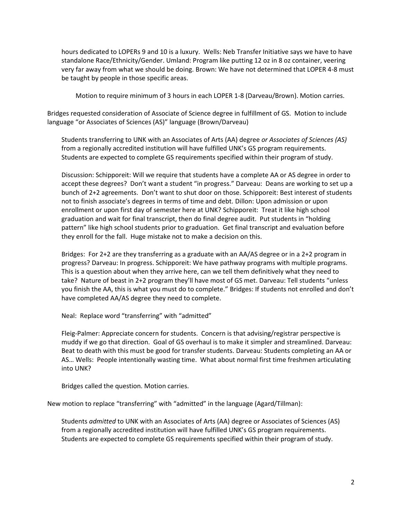hours dedicated to LOPERs 9 and 10 is a luxury. Wells: Neb Transfer Initiative says we have to have standalone Race/Ethnicity/Gender. Umland: Program like putting 12 oz in 8 oz container, veering very far away from what we should be doing. Brown: We have not determined that LOPER 4-8 must be taught by people in those specific areas.

Motion to require minimum of 3 hours in each LOPER 1-8 (Darveau/Brown). Motion carries.

Bridges requested consideration of Associate of Science degree in fulfillment of GS. Motion to include language "or Associates of Sciences (AS)" language (Brown/Darveau)

Students transferring to UNK with an Associates of Arts (AA) degree *or Associates of Sciences (AS)*  from a regionally accredited institution will have fulfilled UNK's GS program requirements. Students are expected to complete GS requirements specified within their program of study.

Discussion: Schipporeit: Will we require that students have a complete AA or AS degree in order to accept these degrees? Don't want a student "in progress." Darveau: Deans are working to set up a bunch of 2+2 agreements. Don't want to shut door on those. Schipporeit: Best interest of students not to finish associate's degrees in terms of time and debt. Dillon: Upon admission or upon enrollment or upon first day of semester here at UNK? Schipporeit: Treat it like high school graduation and wait for final transcript, then do final degree audit. Put students in "holding pattern" like high school students prior to graduation. Get final transcript and evaluation before they enroll for the fall. Huge mistake not to make a decision on this.

Bridges: For 2+2 are they transferring as a graduate with an AA/AS degree or in a 2+2 program in progress? Darveau: In progress. Schipporeit: We have pathway programs with multiple programs. This is a question about when they arrive here, can we tell them definitively what they need to take? Nature of beast in 2+2 program they'll have most of GS met. Darveau: Tell students "unless you finish the AA, this is what you must do to complete." Bridges: If students not enrolled and don't have completed AA/AS degree they need to complete.

Neal: Replace word "transferring" with "admitted"

Fleig-Palmer: Appreciate concern for students. Concern is that advising/registrar perspective is muddy if we go that direction. Goal of GS overhaul is to make it simpler and streamlined. Darveau: Beat to death with this must be good for transfer students. Darveau: Students completing an AA or AS… Wells: People intentionally wasting time. What about normal first time freshmen articulating into UNK?

Bridges called the question. Motion carries.

New motion to replace "transferring" with "admitted" in the language (Agard/Tillman):

Students *admitted* to UNK with an Associates of Arts (AA) degree or Associates of Sciences (AS) from a regionally accredited institution will have fulfilled UNK's GS program requirements. Students are expected to complete GS requirements specified within their program of study.